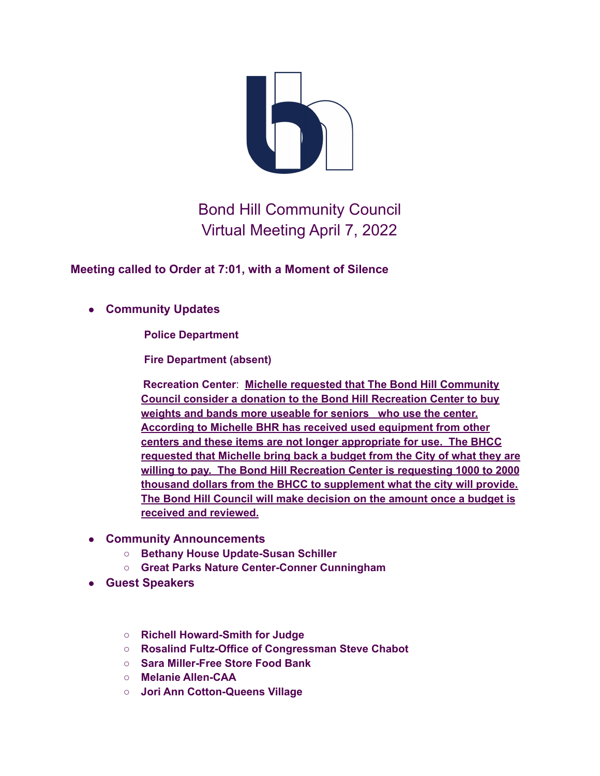

## Bond Hill Community Council Virtual Meeting April 7, 2022

**Meeting called to Order at 7:01, with a Moment of Silence**

## ● **Community Updates**

**Police Department**

**Fire Department (absent)**

**Recreation Center**: **Michelle requested that The Bond Hill Community Council consider a donation to the Bond Hill Recreation Center to buy weights and bands more useable for seniors who use the center. According to Michelle BHR has received used equipment from other centers and these items are not longer appropriate for use. The BHCC requested that Michelle bring back a budget from the City of what they are willing to pay. The Bond Hill Recreation Center is requesting 1000 to 2000 thousand dollars from the BHCC to supplement what the city will provide. The Bond Hill Council will make decision on the amount once a budget is received and reviewed.**

- **Community Announcements**
	- **Bethany House Update-Susan Schiller**
	- **Great Parks Nature Center-Conner Cunningham**
- **Guest Speakers**
	- **Richell Howard-Smith for Judge**
	- **Rosalind Fultz-Office of Congressman Steve Chabot**
	- **Sara Miller-Free Store Food Bank**
	- **Melanie Allen-CAA**
	- **Jori Ann Cotton-Queens Village**